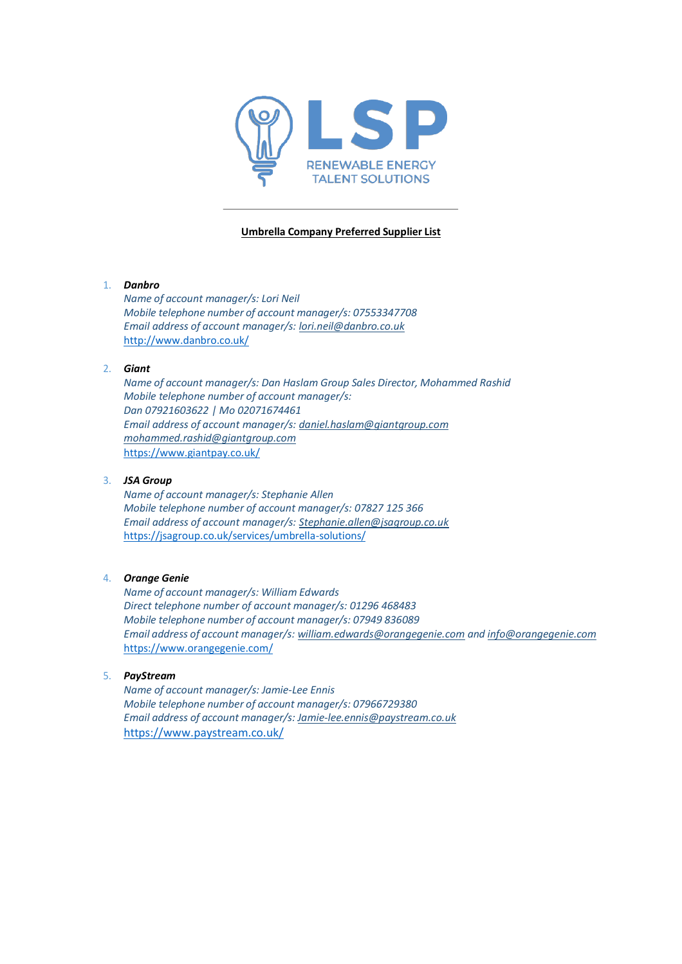

## **Umbrella Company Preferred Supplier List**

### 1. *Danbro*

*Name of account manager/s: Lori Neil Mobile telephone number of account manager/s: 07553347708 Email address of account manager/s: [lori.neil@danbro.co.uk](mailto:lori.neil@danbro.co.uk)* <http://www.danbro.co.uk/>

## 2. *Giant*

*Name of account manager/s: Dan Haslam Group Sales Director, Mohammed Rashid Mobile telephone number of account manager/s: Dan 07921603622 | Mo 02071674461 Email address of account manager/s: [daniel.haslam@giantgroup.com](mailto:daniel.haslam@giantgroup.com) [mohammed.rashid@giantgroup.com](mailto:mohammed.rashid@giantgroup.com)* https:[//www.giantpay.co.uk/](http://www.giantpay.co.uk/)

# 3. *JSA Group*

*Name of account manager/s: Stephanie Allen Mobile telephone number of account manager/s: 07827 125 366 Email address of account manager/s: [Stephanie.allen@jsagroup.co.uk](mailto:Stephanie.allen@jsagroup.co.uk)* https://jsagroup.co.uk/services/umbrella-solutions/

#### 4. *Orange Genie*

*Name of account manager/s: William Edwards Direct telephone number of account manager/s: 01296 468483 Mobile telephone number of account manager/s: 07949 836089 Email address of account manager/s[: william.edwards@orangegenie.com](mailto:william.edwards@orangegenie.com) and [info@orangegenie.com](mailto:info@orangegenie.com)* https:[//www.orangegenie.com/](http://www.orangegenie.com/)

#### 5. *PayStream*

*Name of account manager/s: Jamie-Lee Ennis Mobile telephone number of account manager/s: 07966729380 Email address of account manager/s: [Jamie-lee.ennis@paystream.co.uk](mailto:Jamie-lee.ennis@paystream.co.uk)* https:/[/www.paystream.co.uk/](http://www.paystream.co.uk/)